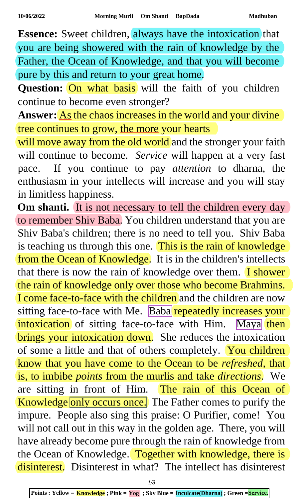**Essence:** Sweet children, always have the intoxication that you are being showered with the rain of knowledge by the Father, the Ocean of Knowledge, and that you will become pure by this and return to your great home.

**Question:** On what basis will the faith of you children continue to become even stronger?

**Answer:** <u>As</u> the chaos increases in the world and your divine tree continues to grow, the more your hearts

will move away from the old world and the stronger your faith will continue to become. *Service* will happen at a very fast pace. If you continue to pay *attention* to dharna, the enthusiasm in your intellects will increase and you will stay in limitless happiness.

Om shanti. It is not necessary to tell the children every day to remember Shiv Baba. You children understand that you are Shiv Baba's children; there is no need to tell you. Shiv Baba is teaching us through this one. This is the rain of knowledge from the Ocean of Knowledge. It is in the children's intellects that there is now the rain of knowledge over them.  $\overline{I}$  shower the rain of knowledge only over those who become Brahmins. I come face-to-face with the children and the children are now sitting face-to-face with Me. Baba repeatedly increases your intoxication of sitting face-to-face with Him. Maya then brings your intoxication down. She reduces the intoxication of some a little and that of others completely. You children know that you have come to the Ocean to be *refreshed*, that is, to imbibe *points* from the murlis and take *directions*. We are sitting in front of Him. The rain of this Ocean of Knowledge only occurs once. The Father comes to purify the impure. People also sing this praise: O Purifier, come! You will not call out in this way in the golden age. There, you will have already become pure through the rain of knowledge from the Ocean of Knowledge. Together with knowledge, there is disinterest. Disinterest in what? The intellect has disinterest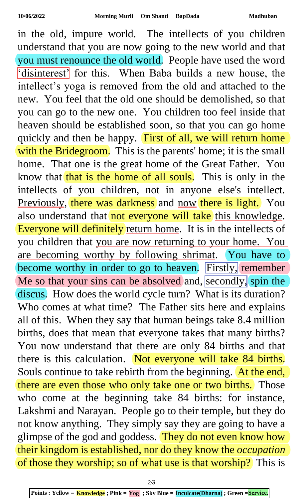in the old, impure world. The intellects of you children understand that you are now going to the new world and that you must renounce the old world. People have used the word 'disinterest' for this. When Baba builds a new house, the intellect's yoga is removed from the old and attached to the new. You feel that the old one should be demolished, so that you can go to the new one. You children too feel inside that heaven should be established soon, so that you can go home quickly and then be happy. First of all, we will return home with the Bridegroom. This is the parents' home; it is the small home. That one is the great home of the Great Father. You know that that is the home of all souls. This is only in the intellects of you children, not in anyone else's intellect. Previously, there was darkness and now there is light. You also understand that not everyone will take this knowledge. Everyone will definitely return home. It is in the intellects of you children that you are now returning to your home. You are becoming worthy by following shrimat. You have to become worthy in order to go to heaven. Firstly, remember Me so that your sins can be absolved and, secondly, spin the discus. How does the world cycle turn? What is its duration? Who comes at what time? The Father sits here and explains all of this. When they say that human beings take 8.4 million births, does that mean that everyone takes that many births? You now understand that there are only 84 births and that there is this calculation. Not everyone will take 84 births. Souls continue to take rebirth from the beginning. At the end, there are even those who only take one or two births. Those who come at the beginning take 84 births: for instance, Lakshmi and Narayan. People go to their temple, but they do not know anything. They simply say they are going to have a glimpse of the god and goddess. They do not even know how their kingdom is established, nor do they know the *occupation* of those they worship; so of what use is that worship? This is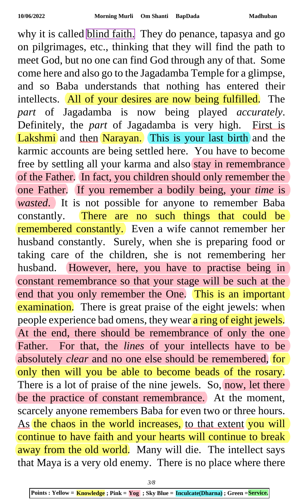why it is called **blind faith.** They do penance, tapasya and go on pilgrimages, etc., thinking that they will find the path to meet God, but no one can find God through any of that. Some come here and also go to the Jagadamba Temple for a glimpse, and so Baba understands that nothing has entered their intellects. All of your desires are now being fulfilled. The *part* of Jagadamba is now being played *accurately*. Definitely, the *part* of Jagadamba is very high. First is Lakshmi and then Narayan. This is your last birth and the karmic accounts are being settled here. You have to become free by settling all your karma and also stay in remembrance of the Father. In fact, you children should only remember the one Father. If you remember a bodily being, your *time* is *wasted*. It is not possible for anyone to remember Baba constantly. There are no such things that could be remembered constantly. Even a wife cannot remember her husband constantly. Surely, when she is preparing food or taking care of the children, she is not remembering her husband. However, here, you have to practise being in constant remembrance so that your stage will be such at the end that you only remember the One. This is an important examination. There is great praise of the eight jewels: when people experience bad omens, they wear a ring of eight jewels. At the end, there should be remembrance of only the one Father. For that, the *lines* of your intellects have to be absolutely *clear* and no one else should be remembered, for only then will you be able to become beads of the rosary. There is a lot of praise of the nine jewels. So, now, let there be the practice of constant remembrance. At the moment, scarcely anyone remembers Baba for even two or three hours. As the chaos in the world increases, to that extent you will continue to have faith and your hearts will continue to break away from the old world. Many will die. The intellect says that Maya is a very old enemy. There is no place where there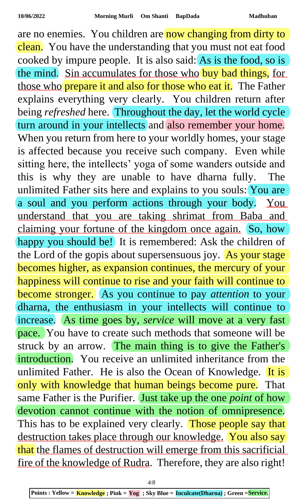are no enemies. You children are now changing from dirty to clean. You have the understanding that you must not eat food cooked by impure people. It is also said: As is the food, so is the mind. Sin accumulates for those who buy bad things, for those who prepare it and also for those who eat it. The Father explains everything very clearly. You children return after being *refreshed* here. Throughout the day, let the world cycle turn around in your intellects and also remember your home. When you return from here to your worldly homes, your stage is affected because you receive such company. Even while sitting here, the intellects' yoga of some wanders outside and this is why they are unable to have dharna fully. The unlimited Father sits here and explains to you souls: You are a soul and you perform actions through your body. You understand that you are taking shrimat from Baba and claiming your fortune of the kingdom once again. So, how happy you should be! It is remembered: Ask the children of the Lord of the gopis about supersensuous joy. As your stage becomes higher, as expansion continues, the mercury of your happiness will continue to rise and your faith will continue to become stronger. As you continue to pay *attention* to your dharna, the enthusiasm in your intellects will continue to increase. As time goes by, *service* will move at a very fast pace. You have to create such methods that someone will be struck by an arrow. The main thing is to give the Father's introduction. You receive an unlimited inheritance from the unlimited Father. He is also the Ocean of Knowledge. It is only with knowledge that human beings become pure. That same Father is the Purifier. Just take up the one *point* of how devotion cannot continue with the notion of omnipresence. This has to be explained very clearly. Those people say that destruction takes place through our knowledge. You also say that the flames of destruction will emerge from this sacrificial fire of the knowledge of Rudra. Therefore, they are also right!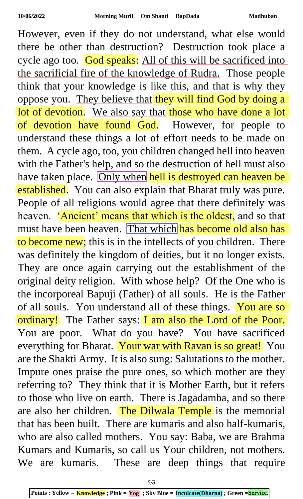However, even if they do not understand, what else would there be other than destruction? Destruction took place a cycle ago too. God speaks: All of this will be sacrificed into the sacrificial fire of the knowledge of Rudra. Those people think that your knowledge is like this, and that is why they oppose you. They believe that they will find God by doing a lot of devotion. We also say that those who have done a lot of devotion have found God. However, for people to understand these things a lot of effort needs to be made on them. A cycle ago, too, you children changed hell into heaven with the Father's help, and so the destruction of hell must also have taken place. Only when hell is destroyed can heaven be established. You can also explain that Bharat truly was pure. People of all religions would agree that there definitely was heaven. 'Ancient' means that which is the oldest, and so that must have been heaven. That which has become old also has to become new; this is in the intellects of you children. There was definitely the kingdom of deities, but it no longer exists. They are once again carrying out the establishment of the original deity religion. With whose help? Of the One who is the incorporeal Bapuji (Father) of all souls. He is the Father of all souls. You understand all of these things. You are so ordinary! The Father says: I am also the Lord of the Poor. You are poor. What do you have? You have sacrificed everything for Bharat. Your war with Ravan is so great! You are the Shakti Army. It is also sung: Salutations to the mother. Impure ones praise the pure ones, so which mother are they referring to? They think that it is Mother Earth, but it refers to those who live on earth. There is Jagadamba, and so there are also her children. The Dilwala Temple is the memorial that has been built. There are kumaris and also half-kumaris, who are also called mothers. You say: Baba, we are Brahma Kumars and Kumaris, so call us Your children, not mothers. We are kumaris. These are deep things that require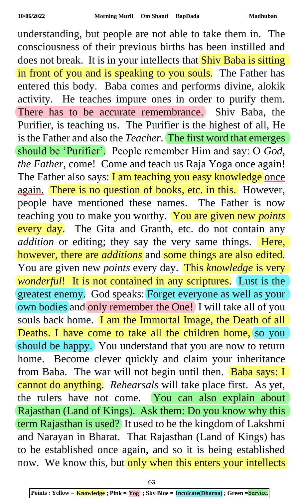understanding, but people are not able to take them in. The consciousness of their previous births has been instilled and does not break. It is in your intellects that **Shiv Baba is sitting** in front of you and is speaking to you souls. The Father has entered this body. Baba comes and performs divine, alokik activity. He teaches impure ones in order to purify them. There has to be accurate remembrance. Shiv Baba, the Purifier, is teaching us. The Purifier is the highest of all, He is the Father and also the *Teacher*. The first word that emerges should be 'Purifier'. People remember Him and say: O *God, the Father*, come! Come and teach us Raja Yoga once again! The Father also says: I am teaching you easy knowledge once again. There is no question of books, etc. in this. However, people have mentioned these names. The Father is now teaching you to make you worthy. You are given new *points* every day. The Gita and Granth, etc. do not contain any *addition* or editing; they say the very same things. Here, however, there are *additions* and some things are also edited. You are given new *points* every day. This *knowledge* is very *wonderful*! It is not contained in any scriptures. Lust is the greatest enemy. God speaks: Forget everyone as well as your own bodies and only remember the One! I will take all of you souls back home. I am the Immortal Image, the Death of all Deaths. I have come to take all the children home, so you should be happy. You understand that you are now to return home. Become clever quickly and claim your inheritance from Baba. The war will not begin until then. Baba says: I cannot do anything. *Rehearsals* will take place first. As yet, the rulers have not come. You can also explain about Rajasthan (Land of Kings). Ask them: Do you know why this term Rajasthan is used? It used to be the kingdom of Lakshmi and Narayan in Bharat. That Rajasthan (Land of Kings) has to be established once again, and so it is being established now. We know this, but only when this enters your intellects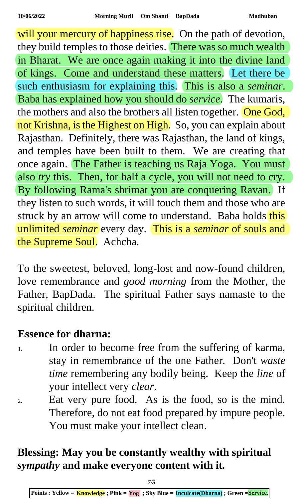will your mercury of happiness rise. On the path of devotion, they build temples to those deities. There was so much wealth in Bharat. We are once again making it into the divine land of kings. Come and understand these matters. Let there be such enthusiasm for explaining this. This is also a *seminar*. Baba has explained how you should do *service*. The kumaris, the mothers and also the brothers all listen together. One God, not Krishna, is the Highest on High. So, you can explain about Rajasthan. Definitely, there was Rajasthan, the land of kings, and temples have been built to them. We are creating that once again. The Father is teaching us Raja Yoga. You must also *try* this. Then, for half a cycle, you will not need to cry. By following Rama's shrimat you are conquering Ravan. If they listen to such words, it will touch them and those who are struck by an arrow will come to understand. Baba holds this unlimited *seminar* every day. This is a *seminar* of souls and the Supreme Soul. Achcha.

To the sweetest, beloved, long-lost and now-found children, love remembrance and *good morning* from the Mother, the Father, BapDada. The spiritual Father says namaste to the spiritual children.

## **Essence for dharna:**

- 1. In order to become free from the suffering of karma, stay in remembrance of the one Father. Don't *waste time* remembering any bodily being. Keep the *line* of your intellect very *clear*.
- 2. Eat very pure food. As is the food, so is the mind. Therefore, do not eat food prepared by impure people. You must make your intellect clean.

## **Blessing: May you be constantly wealthy with spiritual**  *sympathy* **and make everyone content with it***.*

**Points : Yellow = Knowledge ; Pink = Yog ; Sky Blue = Inculcate(Dharna) ; Green =Service.**